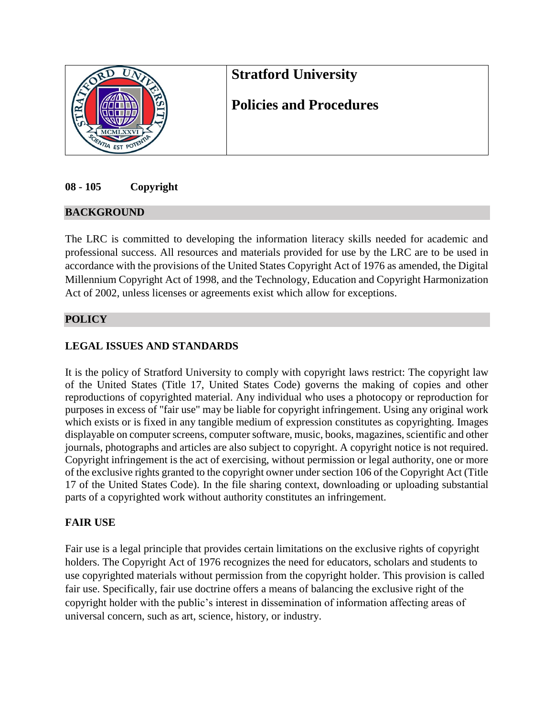

# **08 - 105 Copyright**

## **BACKGROUND**

The LRC is committed to developing the information literacy skills needed for academic and professional success. All resources and materials provided for use by the LRC are to be used in accordance with the provisions of the United States Copyright Act of 1976 as amended, the Digital Millennium Copyright Act of 1998, and the Technology, Education and Copyright Harmonization Act of 2002, unless licenses or agreements exist which allow for exceptions.

## **POLICY**

# **LEGAL ISSUES AND STANDARDS**

It is the policy of Stratford University to comply with copyright laws restrict: The copyright law of the United States (Title 17, United States Code) governs the making of copies and other reproductions of copyrighted material. Any individual who uses a photocopy or reproduction for purposes in excess of "fair use" may be liable for copyright infringement. Using any original work which exists or is fixed in any tangible medium of expression constitutes as copyrighting. Images displayable on computer screens, computer software, music, books, magazines, scientific and other journals, photographs and articles are also subject to copyright. A copyright notice is not required. Copyright infringement is the act of exercising, without permission or legal authority, one or more of the exclusive rights granted to the copyright owner under section 106 of the Copyright Act (Title 17 of the United States Code). In the file sharing context, downloading or uploading substantial parts of a copyrighted work without authority constitutes an infringement.

## **FAIR USE**

Fair use is a legal principle that provides certain limitations on the exclusive rights of copyright holders. The Copyright Act of 1976 recognizes the need for educators, scholars and students to use copyrighted materials without permission from the copyright holder. This provision is called fair use. Specifically, fair use doctrine offers a means of balancing the exclusive right of the copyright holder with the public's interest in dissemination of information affecting areas of universal concern, such as art, science, history, or industry.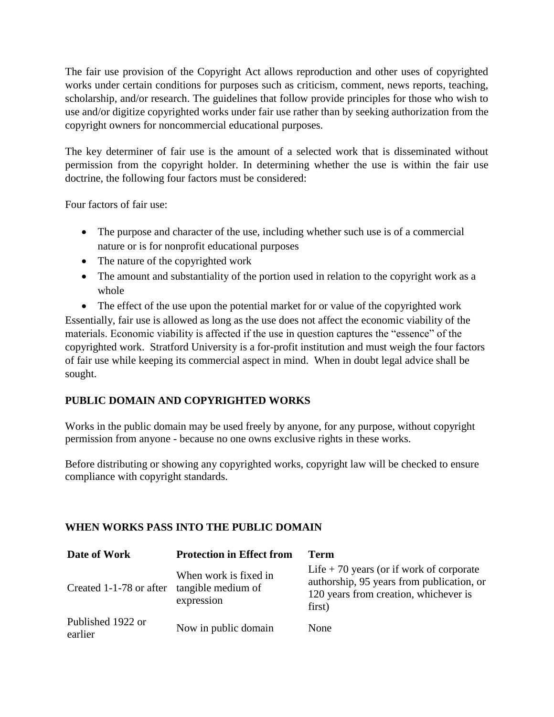The fair use provision of the Copyright Act allows reproduction and other uses of copyrighted works under certain conditions for purposes such as criticism, comment, news reports, teaching, scholarship, and/or research. The guidelines that follow provide principles for those who wish to use and/or digitize copyrighted works under fair use rather than by seeking authorization from the copyright owners for noncommercial educational purposes.

The key determiner of fair use is the amount of a selected work that is disseminated without permission from the copyright holder. In determining whether the use is within the fair use doctrine, the following four factors must be considered:

Four factors of fair use:

- The purpose and character of the use, including whether such use is of a commercial nature or is for nonprofit educational purposes
- The nature of the copyrighted work
- The amount and substantiality of the portion used in relation to the copyright work as a whole

• The effect of the use upon the potential market for or value of the copyrighted work Essentially, fair use is allowed as long as the use does not affect the economic viability of the materials. Economic viability is affected if the use in question captures the "essence" of the copyrighted work. Stratford University is a for-profit institution and must weigh the four factors of fair use while keeping its commercial aspect in mind. When in doubt legal advice shall be sought.

# **PUBLIC DOMAIN AND COPYRIGHTED WORKS**

Works in the public domain may be used freely by anyone, for any purpose, without copyright permission from anyone - because no one owns exclusive rights in these works.

Before distributing or showing any copyrighted works, copyright law will be checked to ensure compliance with copyright standards.

# **WHEN WORKS PASS INTO THE PUBLIC DOMAIN**

| Date of Work                 | <b>Protection in Effect from</b>                          | Term                                                                                                                                      |
|------------------------------|-----------------------------------------------------------|-------------------------------------------------------------------------------------------------------------------------------------------|
| Created 1-1-78 or after      | When work is fixed in<br>tangible medium of<br>expression | Life $+70$ years (or if work of corporate<br>authorship, 95 years from publication, or<br>120 years from creation, whichever is<br>first) |
| Published 1922 or<br>earlier | Now in public domain                                      | None                                                                                                                                      |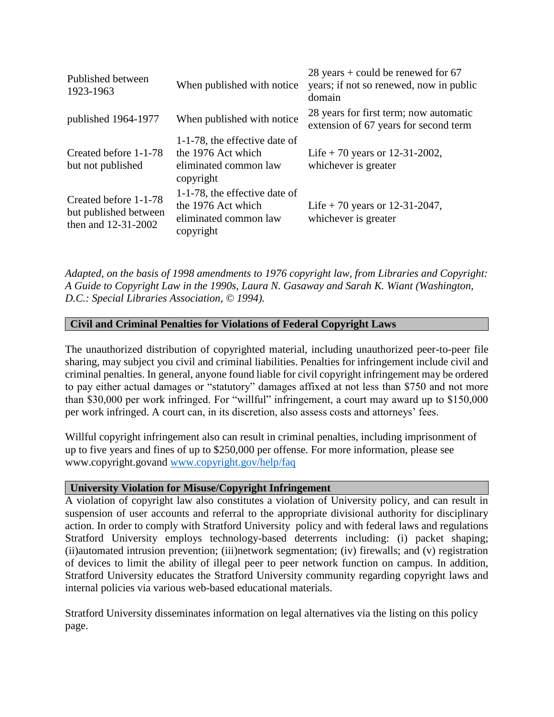| Published between<br>1923-1963                                        | When published with notice                                                                | $28$ years + could be renewed for 67<br>years; if not so renewed, now in public<br>domain |
|-----------------------------------------------------------------------|-------------------------------------------------------------------------------------------|-------------------------------------------------------------------------------------------|
| published 1964-1977                                                   | When published with notice                                                                | 28 years for first term; now automatic<br>extension of 67 years for second term           |
| Created before 1-1-78<br>but not published                            | 1-1-78, the effective date of<br>the 1976 Act which<br>eliminated common law<br>copyright | Life + 70 years or 12-31-2002,<br>whichever is greater                                    |
| Created before 1-1-78<br>but published between<br>then and 12-31-2002 | 1-1-78, the effective date of<br>the 1976 Act which<br>eliminated common law<br>copyright | Life + 70 years or 12-31-2047,<br>whichever is greater                                    |

*Adapted, on the basis of 1998 amendments to 1976 copyright law, from Libraries and Copyright: A Guide to Copyright Law in the 1990s, Laura N. Gasaway and Sarah K. Wiant (Washington, D.C.: Special Libraries Association, © 1994).*

### **Civil and Criminal Penalties for Violations of Federal Copyright Laws**

The unauthorized distribution of copyrighted material, including unauthorized peer-to-peer file sharing, may subject you civil and criminal liabilities. Penalties for infringement include civil and criminal penalties. In general, anyone found liable for civil copyright infringement may be ordered to pay either actual damages or "statutory" damages affixed at not less than \$750 and not more than \$30,000 per work infringed. For "willful" infringement, a court may award up to \$150,000 per work infringed. A court can, in its discretion, also assess costs and attorneys' fees.

Willful copyright infringement also can result in criminal penalties, including imprisonment of up to five years and fines of up to \$250,000 per offense. For more information, please see www.copyright.govand [www.copyright.gov/help/faq](http://www.copyright.gov/help/faq)

#### **University Violation for Misuse/Copyright Infringement**

A violation of copyright law also constitutes a violation of University policy, and can result in suspension of user accounts and referral to the appropriate divisional authority for disciplinary action. In order to comply with Stratford University policy and with federal laws and regulations Stratford University employs technology-based deterrents including: (i) packet shaping; (ii)automated intrusion prevention; (iii)network segmentation; (iv) firewalls; and (v) registration of devices to limit the ability of illegal peer to peer network function on campus. In addition, Stratford University educates the Stratford University community regarding copyright laws and internal policies via various web-based educational materials.

Stratford University disseminates information on legal alternatives via the listing on this policy page.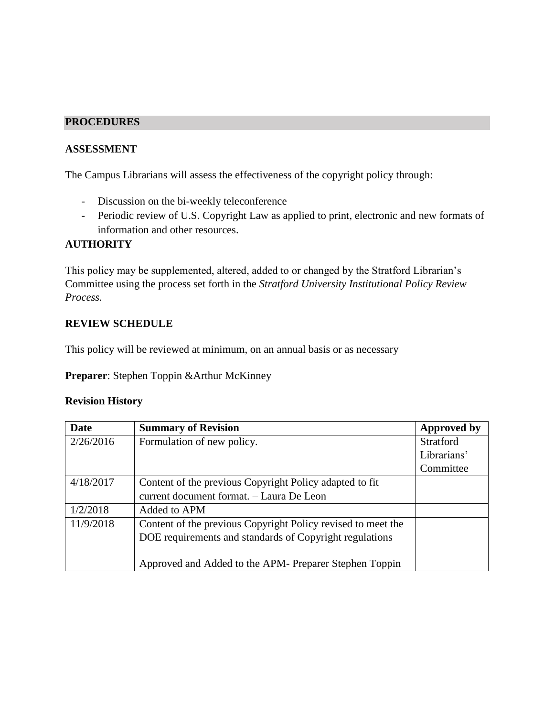#### **PROCEDURES**

## **ASSESSMENT**

The Campus Librarians will assess the effectiveness of the copyright policy through:

- Discussion on the bi-weekly teleconference
- Periodic review of U.S. Copyright Law as applied to print, electronic and new formats of information and other resources.

## **AUTHORITY**

This policy may be supplemented, altered, added to or changed by the Stratford Librarian's Committee using the process set forth in the *Stratford University Institutional Policy Review Process.*

#### **REVIEW SCHEDULE**

This policy will be reviewed at minimum, on an annual basis or as necessary

**Preparer**: Stephen Toppin &Arthur McKinney

#### **Revision History**

| <b>Date</b> | <b>Summary of Revision</b>                                   | <b>Approved by</b> |
|-------------|--------------------------------------------------------------|--------------------|
| 2/26/2016   | Formulation of new policy.                                   | <b>Stratford</b>   |
|             |                                                              | Librarians'        |
|             |                                                              | Committee          |
| 4/18/2017   | Content of the previous Copyright Policy adapted to fit      |                    |
|             | current document format. - Laura De Leon                     |                    |
| 1/2/2018    | Added to APM                                                 |                    |
| 11/9/2018   | Content of the previous Copyright Policy revised to meet the |                    |
|             | DOE requirements and standards of Copyright regulations      |                    |
|             |                                                              |                    |
|             | Approved and Added to the APM- Preparer Stephen Toppin       |                    |